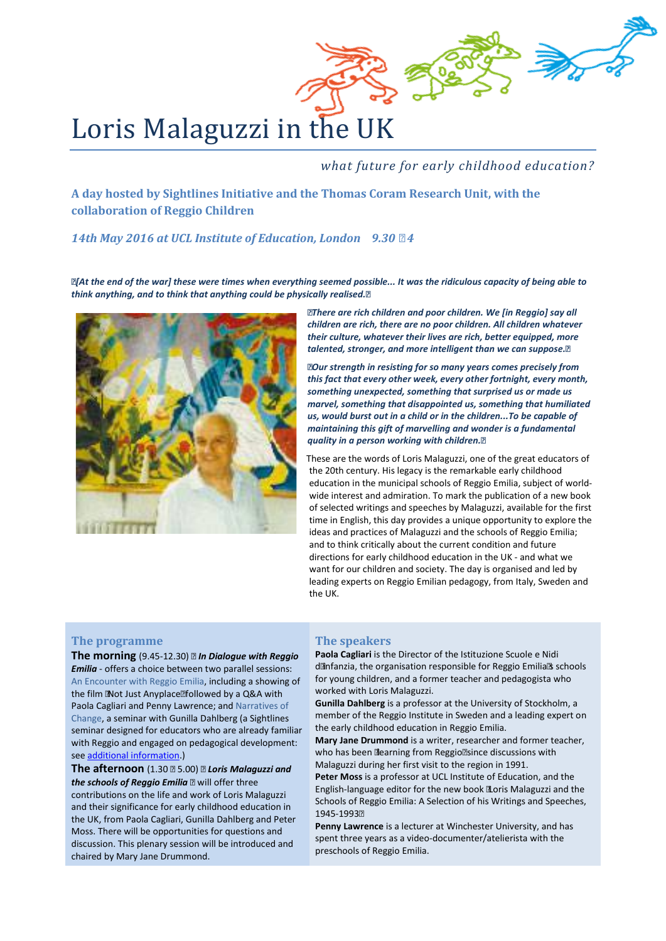

*what future for early childhood education?*

**A day hosted by Sightlines Initiative and the Thomas Coram Research Unit, with the collaboration of Reggio Children**

*14th May 2016 at UCL Institute of Education, London 9.30 – 4*

*"[At the end of the war] these were times when everything seemed possible... It was the ridiculous capacity of being able to think anything, and to think that anything could be physically realised."*



*"There are rich children and poor children. We [in Reggio] say all children are rich, there are no poor children. All children whatever their culture, whatever their lives are rich, better equipped, more talented, stronger, and more intelligent than we can suppose."*

*"Our strength in resisting for so many years comes precisely from this fact that every other week, every other fortnight, every month, something unexpected, something that surprised us or made us marvel, something that disappointed us, something that humiliated us, would burst out in a child or in the children...To be capable of maintaining this gift of marvelling and wonder is a fundamental quality in a person working with children."*

 These are the words of Loris Malaguzzi, one of the great educators of the 20th century. His legacy is the remarkable early childhood education in the municipal schools of Reggio Emilia, subject of worldwide interest and admiration. To mark the publication of a new book of selected writings and speeches by Malaguzzi, available for the first time in English, this day provides a unique opportunity to explore the ideas and practices of Malaguzzi and the schools of Reggio Emilia; and to think critically about the current condition and future directions for early childhood education in the UK - and what we want for our children and society. The day is organised and led by leading experts on Reggio Emilian pedagogy, from Italy, Sweden and the UK.

# **The programme**

**The morning** (9.45-12.30) – *In Dialogue with Reggio Emilia* - offers a choice between two parallel sessions: An Encounter with Reggio Emilia, including a showing of the film 'Not Just Anyplace' followed by a Q&A with Paola Cagliari and Penny Lawrence; and [Narratives of](http://www.sightlines-initiative.com/media/com_eventbooking/14%20May%20morning%20seminar%20with%20Gunilla%20Dahlberg.pdf)  [Change,](http://www.sightlines-initiative.com/media/com_eventbooking/14%20May%20morning%20seminar%20with%20Gunilla%20Dahlberg.pdf) a seminar with Gunilla Dahlberg (a Sightlines seminar designed for educators who are already familiar with Reggio and engaged on pedagogical development: se[e additional information.\)](http://www.sightlines-initiative.com/media/com_eventbooking/14%20May%20morning%20seminar%20with%20Gunilla%20Dahlberg.pdf)

**The afternoon** (1.30 – 5.00) – *Loris Malaguzzi and the schools of Reggio Emilia* – will offer three contributions on the life and work of Loris Malaguzzi and their significance for early childhood education in the UK, from Paola Cagliari, Gunilla Dahlberg and Peter Moss. There will be opportunities for questions and discussion. This plenary session will be introduced and chaired by Mary Jane Drummond.

### **The speakers**

**Paola Cagliari** is the Director of the Istituzione Scuole e Nidi d'infanzia, the organisation responsible for Reggio Emilia's schools for young children, and a former teacher and pedagogista who worked with Loris Malaguzzi.

**Gunilla Dahlberg** is a professor at the University of Stockholm, a member of the Reggio Institute in Sweden and a leading expert on the early childhood education in Reggio Emilia.

**Mary Jane Drummond** is a writer, researcher and former teacher, who has been 'learning from Reggio' since discussions with Malaguzzi during her first visit to the region in 1991.

**Peter Moss** is a professor at UCL Institute of Education, and the English-language editor for the new book 'Loris Malaguzzi and the Schools of Reggio Emilia: A Selection of his Writings and Speeches, 1945-1993'

**Penny Lawrence** is a lecturer at Winchester University, and has spent three years as a video-documenter/atelierista with the preschools of Reggio Emilia.